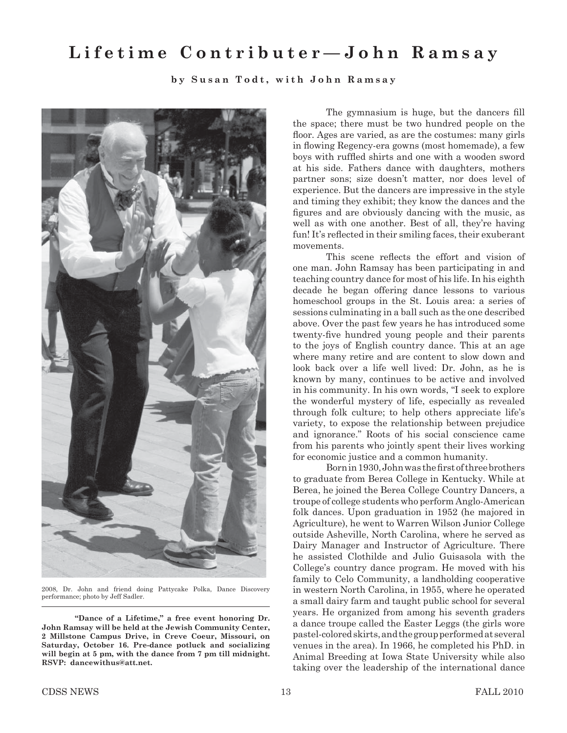## **Lifetime Contributer—John Ramsay**

**by Susan Todt, with John Ramsay**



2008, Dr. John and friend doing Pattycake Polka, Dance Discovery performance; photo by Jeff Sadler.

**"Dance of a Lifetime," a free event honoring Dr. John Ramsay will be held at the Jewish Community Center, 2 Millstone Campus Drive, in Creve Coeur, Missouri, on Saturday, October 16. Pre-dance potluck and socializing will begin at 5 pm, with the dance from 7 pm till midnight. RSVP: dancewithus@att.net.**

The gymnasium is huge, but the dancers fill the space; there must be two hundred people on the floor. Ages are varied, as are the costumes: many girls in flowing Regency-era gowns (most homemade), a few boys with ruffled shirts and one with a wooden sword at his side. Fathers dance with daughters, mothers partner sons; size doesn't matter, nor does level of experience. But the dancers are impressive in the style and timing they exhibit; they know the dances and the figures and are obviously dancing with the music, as well as with one another. Best of all, they're having fun! It's reflected in their smiling faces, their exuberant movements.

This scene reflects the effort and vision of one man. John Ramsay has been participating in and teaching country dance for most of his life. In his eighth decade he began offering dance lessons to various homeschool groups in the St. Louis area: a series of sessions culminating in a ball such as the one described above. Over the past few years he has introduced some twenty-five hundred young people and their parents to the joys of English country dance. This at an age where many retire and are content to slow down and look back over a life well lived: Dr. John, as he is known by many, continues to be active and involved in his community. In his own words, "I seek to explore the wonderful mystery of life, especially as revealed through folk culture; to help others appreciate life's variety, to expose the relationship between prejudice and ignorance." Roots of his social conscience came from his parents who jointly spent their lives working for economic justice and a common humanity.

Born in 1930, John was the first of three brothers to graduate from Berea College in Kentucky. While at Berea, he joined the Berea College Country Dancers, a troupe of college students who perform Anglo-American folk dances. Upon graduation in 1952 (he majored in Agriculture), he went to Warren Wilson Junior College outside Asheville, North Carolina, where he served as Dairy Manager and Instructor of Agriculture. There he assisted Clothilde and Julio Guisasola with the College's country dance program. He moved with his family to Celo Community, a landholding cooperative in western North Carolina, in 1955, where he operated a small dairy farm and taught public school for several years. He organized from among his seventh graders a dance troupe called the Easter Leggs (the girls wore pastel-colored skirts, and the group performed at several venues in the area). In 1966, he completed his PhD. in Animal Breeding at Iowa State University while also taking over the leadership of the international dance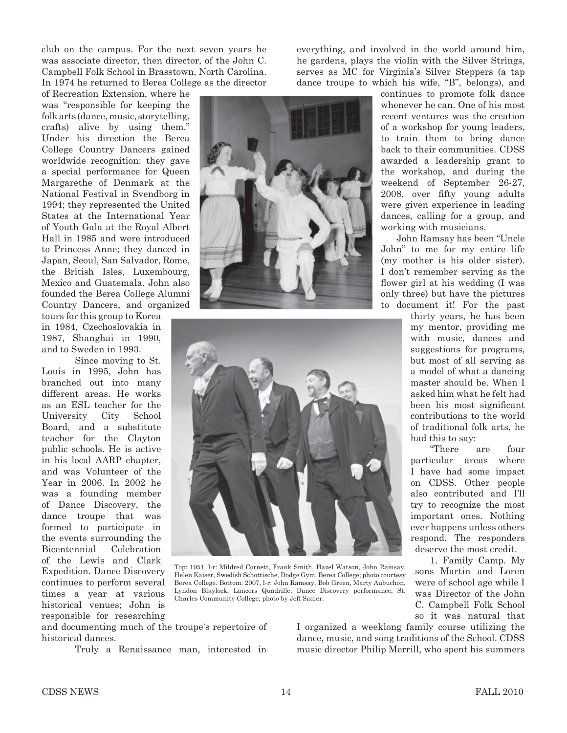club on the campus. For the next seven years he was associate director, then director, of the John C. Campbell Folk School in Brasstown, North Carolina. In 1974 he returned to Berea College as the director

of Recreation Extension, where he was "responsible for keeping the folk arts (dance, music, storytelling, crafts) alive by using them." Under his direction the Berea College Country Dancers gained worldwide recognition: they gave a special performance for Queen Margarethe of Denmark at the National Festival in Svendborg in 1994; they represented the United States at the International Year of Youth Gala at the Royal Albert Hall in 1985 and were introduced to Princess Anne; they danced in Japan, Seoul, San Salvador, Rome, the British Isles, Luxembourg, Mexico and Guatemala. John also founded the Berea College Alumni Country Dancers, and organized

tours for this group to Korea in 1984, Czechoslovakia in 1987, Shanghai in 1990, and to Sweden in 1993.

 Since moving to St. Louis in 1995, John has branched out into many different areas. He works as an ESL teacher for the University City School Board, and a substitute teacher for the Clayton public schools. He is active in his local AARP chapter, and was Volunteer of the Year in 2006. In 2002 he was a founding member of Dance Discovery, the dance troupe that was formed to participate in the events surrounding the Bicentennial Celebration of the Lewis and Clark Expedition. Dance Discovery continues to perform several times a year at various historical venues; John is responsible for researching everything, and involved in the world around him, he gardens, plays the violin with the Silver Strings, serves as MC for Virginia's Silver Steppers (a tap dance troupe to which his wife, "B", belongs), and





Top: 1951, l-r: Mildred Cornett, Frank Smith, Hazel Watson, John Ramsay, Helen Kaiser, Swedish Schottische, Dodge Gym, Berea College; photo courtesy Berea College. Bottom: 2007, l-r: John Ramsay, Bob Green, Marty Aubuchon, Lyndon Blaylock, Lancers Quadrille, Dance Discovery performance, St. Charles Community College; photo by Jeff Sadler.

and documenting much of the troupe's repertoire of historical dances.

Truly a Renaissance man, interested in

I organized a weeklong family course utilizing the dance, music, and song traditions of the School. CDSS music director Philip Merrill, who spent his summers

continues to promote folk dance whenever he can. One of his most recent ventures was the creation of a workshop for young leaders, to train them to bring dance back to their communities. CDSS awarded a leadership grant to the workshop, and during the weekend of September 26-27, 2008, over fifty young adults were given experience in leading dances, calling for a group, and working with musicians.

 John Ramsay has been "Uncle John" to me for my entire life (my mother is his older sister). I don't remember serving as the flower girl at his wedding (I was only three) but have the pictures to document it! For the past

> thirty years, he has been my mentor, providing me with music, dances and suggestions for programs, but most of all serving as a model of what a dancing master should be. When I asked him what he felt had been his most significant contributions to the world of traditional folk arts, he had this to say:

> "There are four particular areas where I have had some impact on CDSS. Other people also contributed and I'll try to recognize the most important ones. Nothing ever happens unless others respond. The responders deserve the most credit.

 1. Family Camp. My sons Martin and Loren were of school age while I was Director of the John C. Campbell Folk School so it was natural that